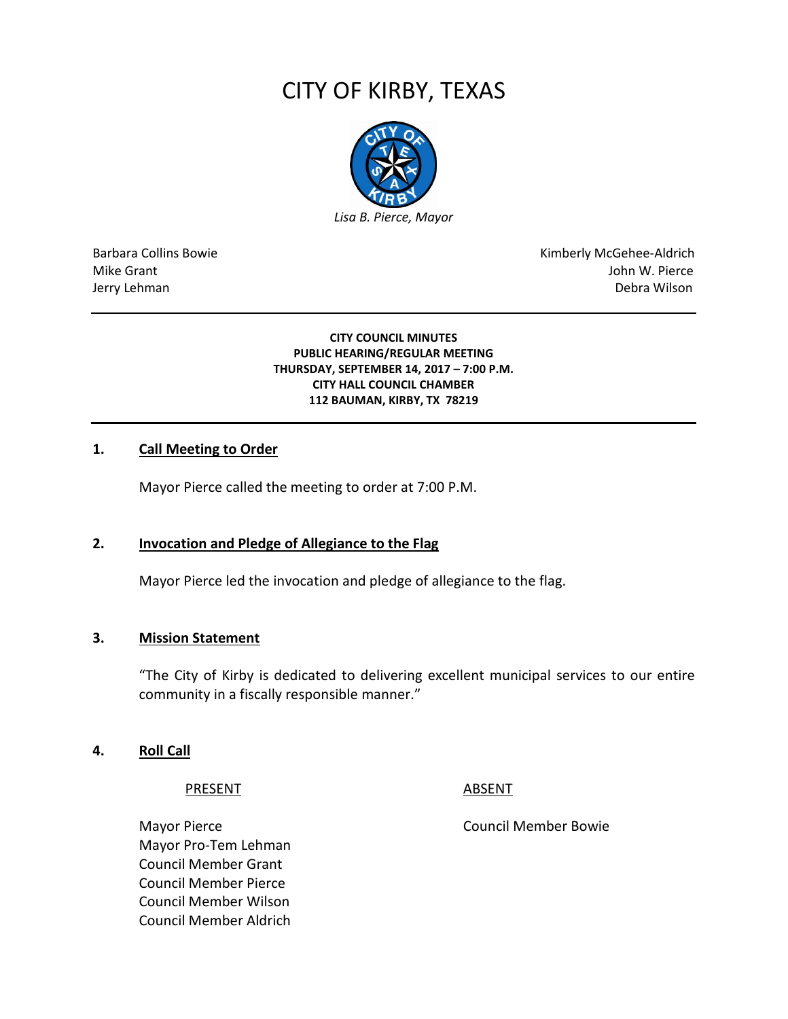# CITY OF KIRBY, TEXAS



Barbara Collins Bowie **Kimberly McGehee-Aldrich** Mike Grant **Mike Grant** John W. Pierce Jerry Lehman Debra Wilson

> **CITY COUNCIL MINUTES PUBLIC HEARING/REGULAR MEETING THURSDAY, SEPTEMBER 14, 2017 – 7:00 P.M. CITY HALL COUNCIL CHAMBER 112 BAUMAN, KIRBY, TX 78219**

#### **1. Call Meeting to Order**

Mayor Pierce called the meeting to order at 7:00 P.M.

#### **2. Invocation and Pledge of Allegiance to the Flag**

Mayor Pierce led the invocation and pledge of allegiance to the flag.

#### **3. Mission Statement**

"The City of Kirby is dedicated to delivering excellent municipal services to our entire community in a fiscally responsible manner."

#### **4. Roll Call**

PRESENT ABSENT

Mayor Pierce **Council Member Bowie** Council Member Bowie Mayor Pro-Tem Lehman Council Member Grant Council Member Pierce Council Member Wilson Council Member Aldrich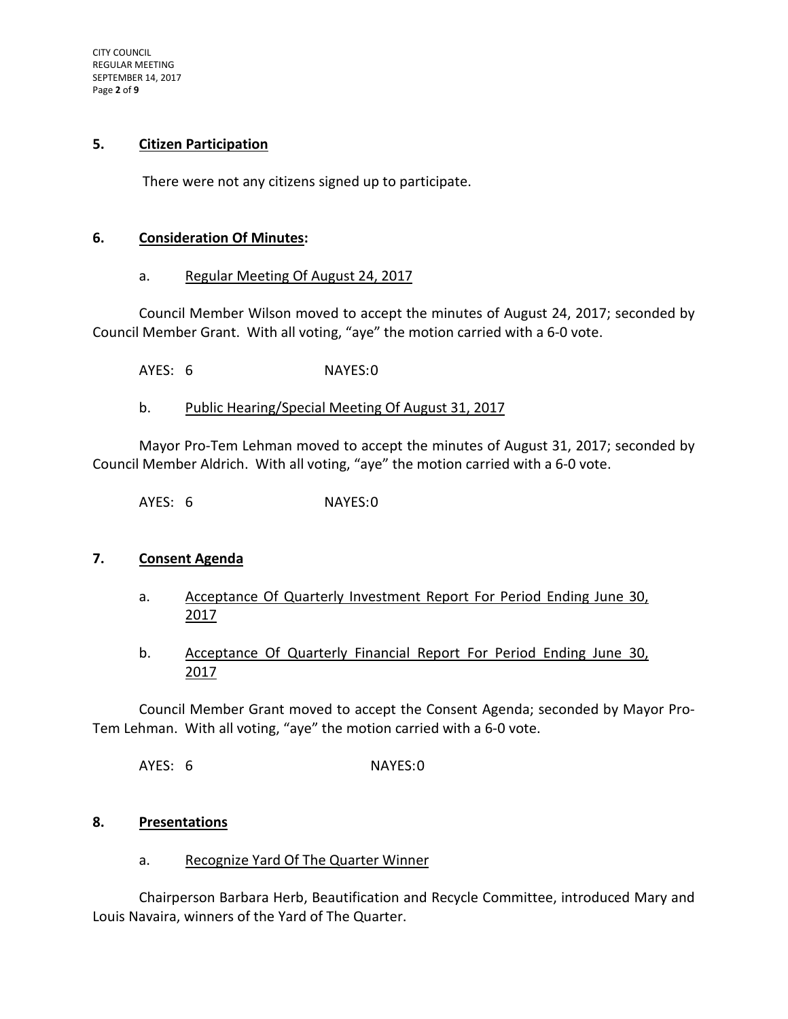CITY COUNCIL REGULAR MEETING SEPTEMBER 14, 2017 Page **2** of **9**

#### **5. Citizen Participation**

There were not any citizens signed up to participate.

#### **6. Consideration Of Minutes:**

#### a. Regular Meeting Of August 24, 2017

Council Member Wilson moved to accept the minutes of August 24, 2017; seconded by Council Member Grant. With all voting, "aye" the motion carried with a 6-0 vote.

AYES: 6 NAYES:0

#### b. Public Hearing/Special Meeting Of August 31, 2017

Mayor Pro-Tem Lehman moved to accept the minutes of August 31, 2017; seconded by Council Member Aldrich. With all voting, "aye" the motion carried with a 6-0 vote.

AYES: 6 NAYES:0

#### **7. Consent Agenda**

- a. Acceptance Of Quarterly Investment Report For Period Ending June 30, 2017
- b. Acceptance Of Quarterly Financial Report For Period Ending June 30, 2017

Council Member Grant moved to accept the Consent Agenda; seconded by Mayor Pro-Tem Lehman. With all voting, "aye" the motion carried with a 6-0 vote.

AYES: 6 NAYES:0

#### **8. Presentations**

#### a. Recognize Yard Of The Quarter Winner

Chairperson Barbara Herb, Beautification and Recycle Committee, introduced Mary and Louis Navaira, winners of the Yard of The Quarter.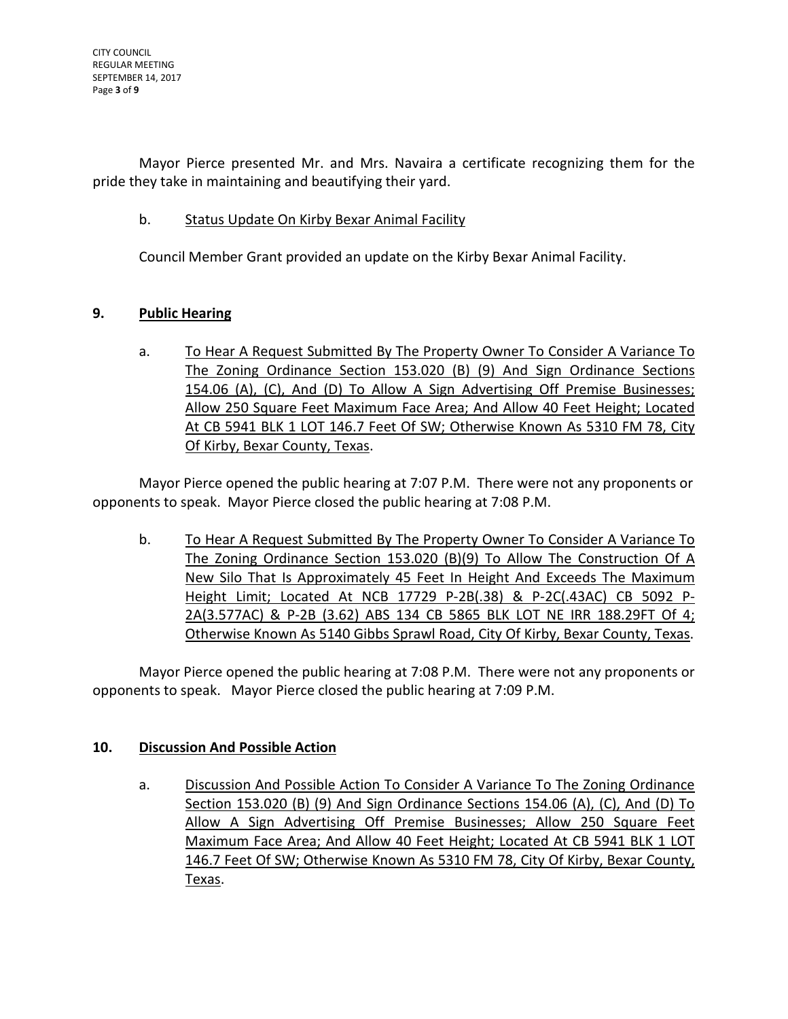Mayor Pierce presented Mr. and Mrs. Navaira a certificate recognizing them for the pride they take in maintaining and beautifying their yard.

b. Status Update On Kirby Bexar Animal Facility

Council Member Grant provided an update on the Kirby Bexar Animal Facility.

# **9. Public Hearing**

a. To Hear A Request Submitted By The Property Owner To Consider A Variance To The Zoning Ordinance Section 153.020 (B) (9) And Sign Ordinance Sections 154.06 (A), (C), And (D) To Allow A Sign Advertising Off Premise Businesses; Allow 250 Square Feet Maximum Face Area; And Allow 40 Feet Height; Located At CB 5941 BLK 1 LOT 146.7 Feet Of SW; Otherwise Known As 5310 FM 78, City Of Kirby, Bexar County, Texas.

Mayor Pierce opened the public hearing at 7:07 P.M. There were not any proponents or opponents to speak. Mayor Pierce closed the public hearing at 7:08 P.M.

b. To Hear A Request Submitted By The Property Owner To Consider A Variance To The Zoning Ordinance Section 153.020 (B)(9) To Allow The Construction Of A New Silo That Is Approximately 45 Feet In Height And Exceeds The Maximum Height Limit; Located At NCB 17729 P-2B(.38) & P-2C(.43AC) CB 5092 P-2A(3.577AC) & P-2B (3.62) ABS 134 CB 5865 BLK LOT NE IRR 188.29FT Of 4; Otherwise Known As 5140 Gibbs Sprawl Road, City Of Kirby, Bexar County, Texas.

Mayor Pierce opened the public hearing at 7:08 P.M. There were not any proponents or opponents to speak. Mayor Pierce closed the public hearing at 7:09 P.M.

# **10. Discussion And Possible Action**

a. Discussion And Possible Action To Consider A Variance To The Zoning Ordinance Section 153.020 (B) (9) And Sign Ordinance Sections 154.06 (A), (C), And (D) To Allow A Sign Advertising Off Premise Businesses; Allow 250 Square Feet Maximum Face Area; And Allow 40 Feet Height; Located At CB 5941 BLK 1 LOT 146.7 Feet Of SW; Otherwise Known As 5310 FM 78, City Of Kirby, Bexar County, Texas.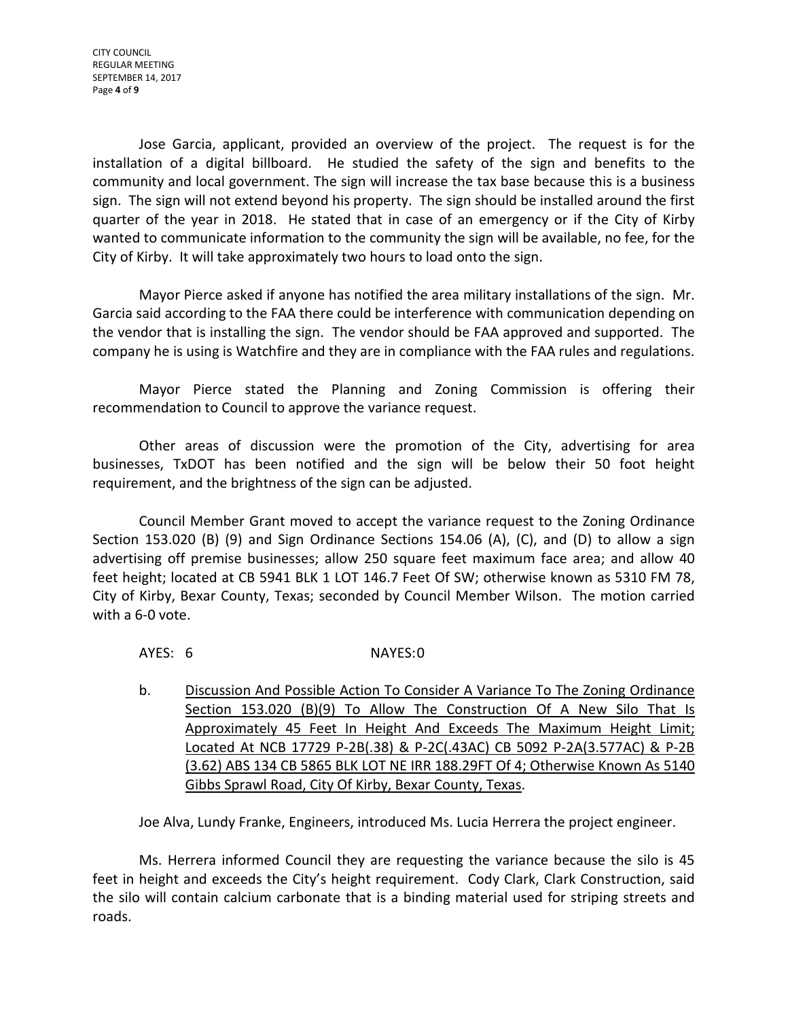Jose Garcia, applicant, provided an overview of the project. The request is for the installation of a digital billboard. He studied the safety of the sign and benefits to the community and local government. The sign will increase the tax base because this is a business sign. The sign will not extend beyond his property. The sign should be installed around the first quarter of the year in 2018. He stated that in case of an emergency or if the City of Kirby wanted to communicate information to the community the sign will be available, no fee, for the City of Kirby. It will take approximately two hours to load onto the sign.

Mayor Pierce asked if anyone has notified the area military installations of the sign. Mr. Garcia said according to the FAA there could be interference with communication depending on the vendor that is installing the sign. The vendor should be FAA approved and supported. The company he is using is Watchfire and they are in compliance with the FAA rules and regulations.

Mayor Pierce stated the Planning and Zoning Commission is offering their recommendation to Council to approve the variance request.

Other areas of discussion were the promotion of the City, advertising for area businesses, TxDOT has been notified and the sign will be below their 50 foot height requirement, and the brightness of the sign can be adjusted.

Council Member Grant moved to accept the variance request to the Zoning Ordinance Section 153.020 (B) (9) and Sign Ordinance Sections 154.06 (A), (C), and (D) to allow a sign advertising off premise businesses; allow 250 square feet maximum face area; and allow 40 feet height; located at CB 5941 BLK 1 LOT 146.7 Feet Of SW; otherwise known as 5310 FM 78, City of Kirby, Bexar County, Texas; seconded by Council Member Wilson. The motion carried with a 6-0 vote.

#### AYES: 6 NAYES:0

b. Discussion And Possible Action To Consider A Variance To The Zoning Ordinance Section 153.020 (B)(9) To Allow The Construction Of A New Silo That Is Approximately 45 Feet In Height And Exceeds The Maximum Height Limit; Located At NCB 17729 P-2B(.38) & P-2C(.43AC) CB 5092 P-2A(3.577AC) & P-2B (3.62) ABS 134 CB 5865 BLK LOT NE IRR 188.29FT Of 4; Otherwise Known As 5140 Gibbs Sprawl Road, City Of Kirby, Bexar County, Texas.

Joe Alva, Lundy Franke, Engineers, introduced Ms. Lucia Herrera the project engineer.

Ms. Herrera informed Council they are requesting the variance because the silo is 45 feet in height and exceeds the City's height requirement. Cody Clark, Clark Construction, said the silo will contain calcium carbonate that is a binding material used for striping streets and roads.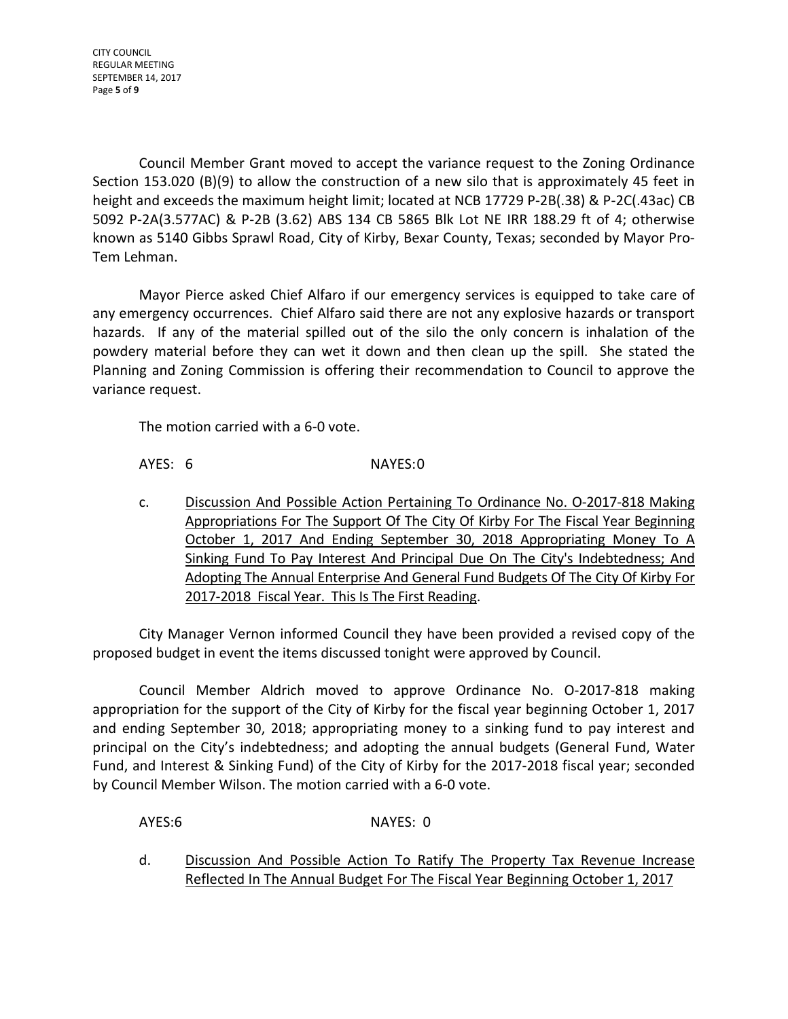CITY COUNCIL REGULAR MEETING SEPTEMBER 14, 2017 Page **5** of **9**

Council Member Grant moved to accept the variance request to the Zoning Ordinance Section 153.020 (B)(9) to allow the construction of a new silo that is approximately 45 feet in height and exceeds the maximum height limit; located at NCB 17729 P-2B(.38) & P-2C(.43ac) CB 5092 P-2A(3.577AC) & P-2B (3.62) ABS 134 CB 5865 Blk Lot NE IRR 188.29 ft of 4; otherwise known as 5140 Gibbs Sprawl Road, City of Kirby, Bexar County, Texas; seconded by Mayor Pro-Tem Lehman.

Mayor Pierce asked Chief Alfaro if our emergency services is equipped to take care of any emergency occurrences. Chief Alfaro said there are not any explosive hazards or transport hazards. If any of the material spilled out of the silo the only concern is inhalation of the powdery material before they can wet it down and then clean up the spill. She stated the Planning and Zoning Commission is offering their recommendation to Council to approve the variance request.

The motion carried with a 6-0 vote.

AYES: 6 NAYES:0

c. Discussion And Possible Action Pertaining To Ordinance No. O-2017-818 Making Appropriations For The Support Of The City Of Kirby For The Fiscal Year Beginning October 1, 2017 And Ending September 30, 2018 Appropriating Money To A Sinking Fund To Pay Interest And Principal Due On The City's Indebtedness; And Adopting The Annual Enterprise And General Fund Budgets Of The City Of Kirby For 2017-2018 Fiscal Year. This Is The First Reading.

City Manager Vernon informed Council they have been provided a revised copy of the proposed budget in event the items discussed tonight were approved by Council.

Council Member Aldrich moved to approve Ordinance No. O-2017-818 making appropriation for the support of the City of Kirby for the fiscal year beginning October 1, 2017 and ending September 30, 2018; appropriating money to a sinking fund to pay interest and principal on the City's indebtedness; and adopting the annual budgets (General Fund, Water Fund, and Interest & Sinking Fund) of the City of Kirby for the 2017-2018 fiscal year; seconded by Council Member Wilson. The motion carried with a 6-0 vote.

AYES:6 NAYES: 0

d. Discussion And Possible Action To Ratify The Property Tax Revenue Increase Reflected In The Annual Budget For The Fiscal Year Beginning October 1, 2017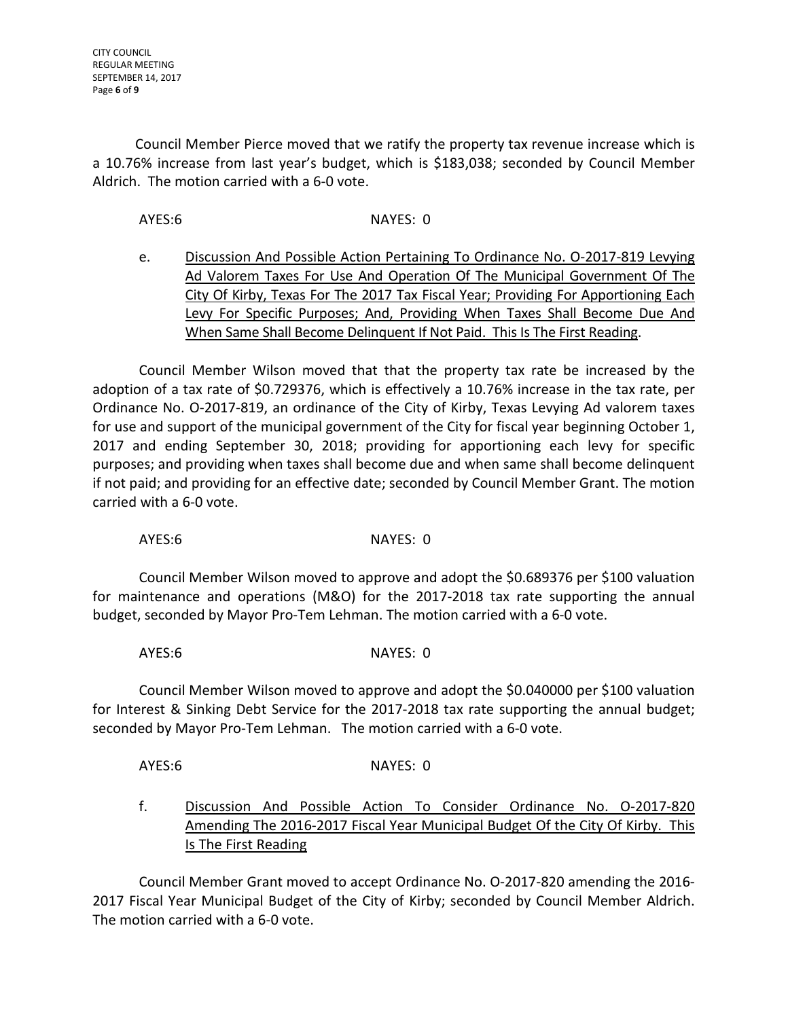Council Member Pierce moved that we ratify the property tax revenue increase which is a 10.76% increase from last year's budget, which is \$183,038; seconded by Council Member Aldrich. The motion carried with a 6-0 vote.

AYES: 6 NAYES: 0

e. Discussion And Possible Action Pertaining To Ordinance No. O-2017-819 Levying Ad Valorem Taxes For Use And Operation Of The Municipal Government Of The City Of Kirby, Texas For The 2017 Tax Fiscal Year; Providing For Apportioning Each Levy For Specific Purposes; And, Providing When Taxes Shall Become Due And When Same Shall Become Delinquent If Not Paid. This Is The First Reading.

Council Member Wilson moved that that the property tax rate be increased by the adoption of a tax rate of \$0.729376, which is effectively a 10.76% increase in the tax rate, per Ordinance No. O-2017-819, an ordinance of the City of Kirby, Texas Levying Ad valorem taxes for use and support of the municipal government of the City for fiscal year beginning October 1, 2017 and ending September 30, 2018; providing for apportioning each levy for specific purposes; and providing when taxes shall become due and when same shall become delinquent if not paid; and providing for an effective date; seconded by Council Member Grant. The motion carried with a 6-0 vote.

AYES: 6 NAYES: 0

Council Member Wilson moved to approve and adopt the \$0.689376 per \$100 valuation for maintenance and operations (M&O) for the 2017-2018 tax rate supporting the annual budget, seconded by Mayor Pro-Tem Lehman. The motion carried with a 6-0 vote.

AYES: 6 NAYES: 0

Council Member Wilson moved to approve and adopt the \$0.040000 per \$100 valuation for Interest & Sinking Debt Service for the 2017-2018 tax rate supporting the annual budget; seconded by Mayor Pro-Tem Lehman. The motion carried with a 6-0 vote.

AYES: 6 NAYES: 0

f. Discussion And Possible Action To Consider Ordinance No. O-2017-820 Amending The 2016-2017 Fiscal Year Municipal Budget Of the City Of Kirby. This Is The First Reading

Council Member Grant moved to accept Ordinance No. O-2017-820 amending the 2016- 2017 Fiscal Year Municipal Budget of the City of Kirby; seconded by Council Member Aldrich. The motion carried with a 6-0 vote.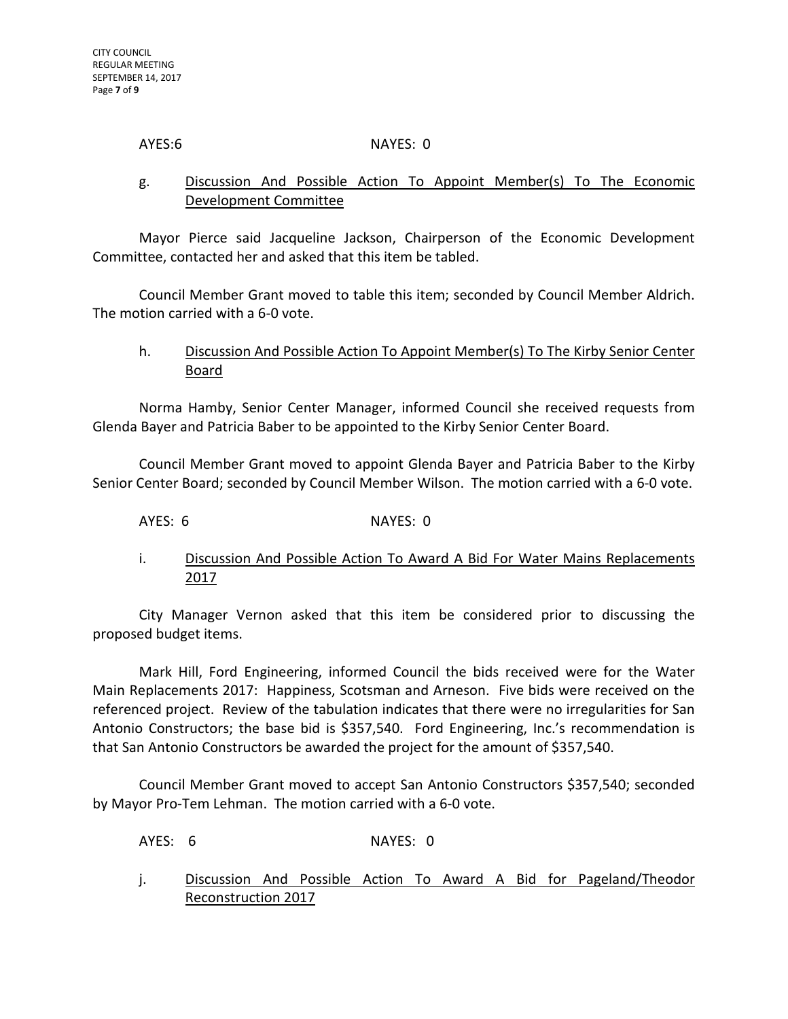#### AYES: 6 NAYES: 0

# g. Discussion And Possible Action To Appoint Member(s) To The Economic Development Committee

Mayor Pierce said Jacqueline Jackson, Chairperson of the Economic Development Committee, contacted her and asked that this item be tabled.

Council Member Grant moved to table this item; seconded by Council Member Aldrich. The motion carried with a 6-0 vote.

#### h. Discussion And Possible Action To Appoint Member(s) To The Kirby Senior Center Board

Norma Hamby, Senior Center Manager, informed Council she received requests from Glenda Bayer and Patricia Baber to be appointed to the Kirby Senior Center Board.

Council Member Grant moved to appoint Glenda Bayer and Patricia Baber to the Kirby Senior Center Board; seconded by Council Member Wilson. The motion carried with a 6-0 vote.

AYES: 6 NAYES: 0

i. Discussion And Possible Action To Award A Bid For Water Mains Replacements 2017

City Manager Vernon asked that this item be considered prior to discussing the proposed budget items.

Mark Hill, Ford Engineering, informed Council the bids received were for the Water Main Replacements 2017: Happiness, Scotsman and Arneson. Five bids were received on the referenced project. Review of the tabulation indicates that there were no irregularities for San Antonio Constructors; the base bid is \$357,540. Ford Engineering, Inc.'s recommendation is that San Antonio Constructors be awarded the project for the amount of \$357,540.

Council Member Grant moved to accept San Antonio Constructors \$357,540; seconded by Mayor Pro-Tem Lehman. The motion carried with a 6-0 vote.

AYES: 6 NAYES: 0

j. Discussion And Possible Action To Award A Bid for Pageland/Theodor Reconstruction 2017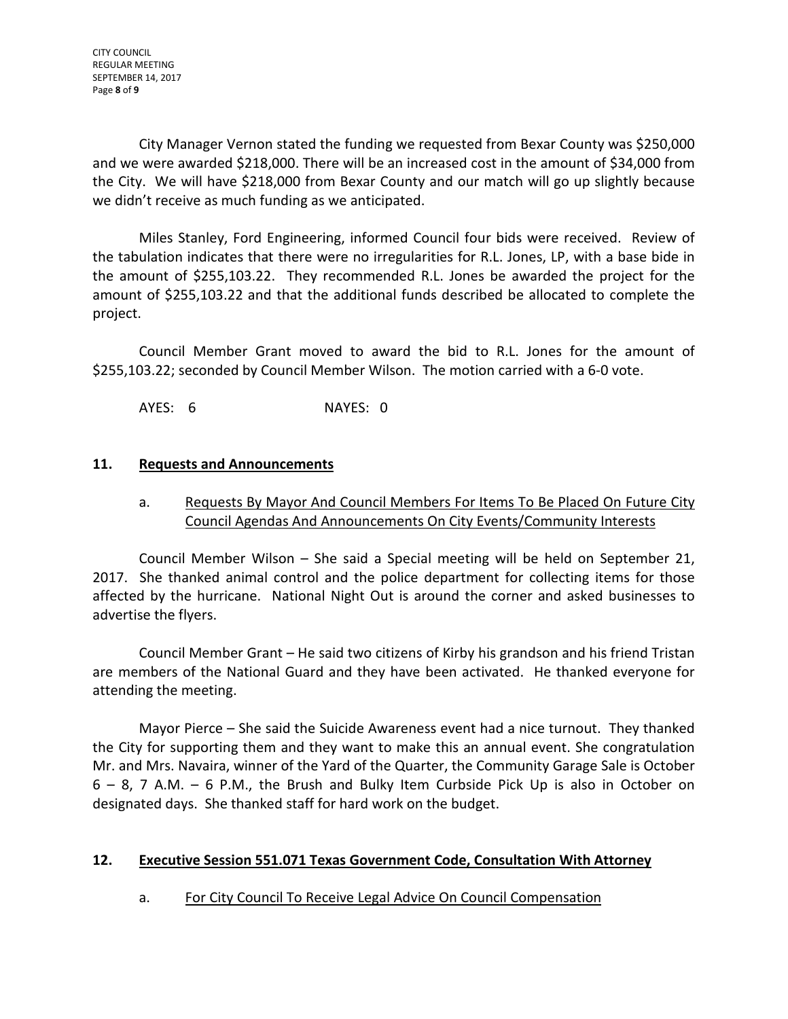City Manager Vernon stated the funding we requested from Bexar County was \$250,000 and we were awarded \$218,000. There will be an increased cost in the amount of \$34,000 from the City. We will have \$218,000 from Bexar County and our match will go up slightly because we didn't receive as much funding as we anticipated.

Miles Stanley, Ford Engineering, informed Council four bids were received. Review of the tabulation indicates that there were no irregularities for R.L. Jones, LP, with a base bide in the amount of \$255,103.22. They recommended R.L. Jones be awarded the project for the amount of \$255,103.22 and that the additional funds described be allocated to complete the project.

Council Member Grant moved to award the bid to R.L. Jones for the amount of \$255,103.22; seconded by Council Member Wilson. The motion carried with a 6-0 vote.

AYES: 6 NAYES: 0

# **11. Requests and Announcements**

# a. Requests By Mayor And Council Members For Items To Be Placed On Future City Council Agendas And Announcements On City Events/Community Interests

Council Member Wilson – She said a Special meeting will be held on September 21, 2017. She thanked animal control and the police department for collecting items for those affected by the hurricane. National Night Out is around the corner and asked businesses to advertise the flyers.

Council Member Grant – He said two citizens of Kirby his grandson and his friend Tristan are members of the National Guard and they have been activated. He thanked everyone for attending the meeting.

Mayor Pierce – She said the Suicide Awareness event had a nice turnout. They thanked the City for supporting them and they want to make this an annual event. She congratulation Mr. and Mrs. Navaira, winner of the Yard of the Quarter, the Community Garage Sale is October 6 – 8, 7 A.M. – 6 P.M., the Brush and Bulky Item Curbside Pick Up is also in October on designated days. She thanked staff for hard work on the budget.

# **12. Executive Session 551.071 Texas Government Code, Consultation With Attorney**

# a. For City Council To Receive Legal Advice On Council Compensation